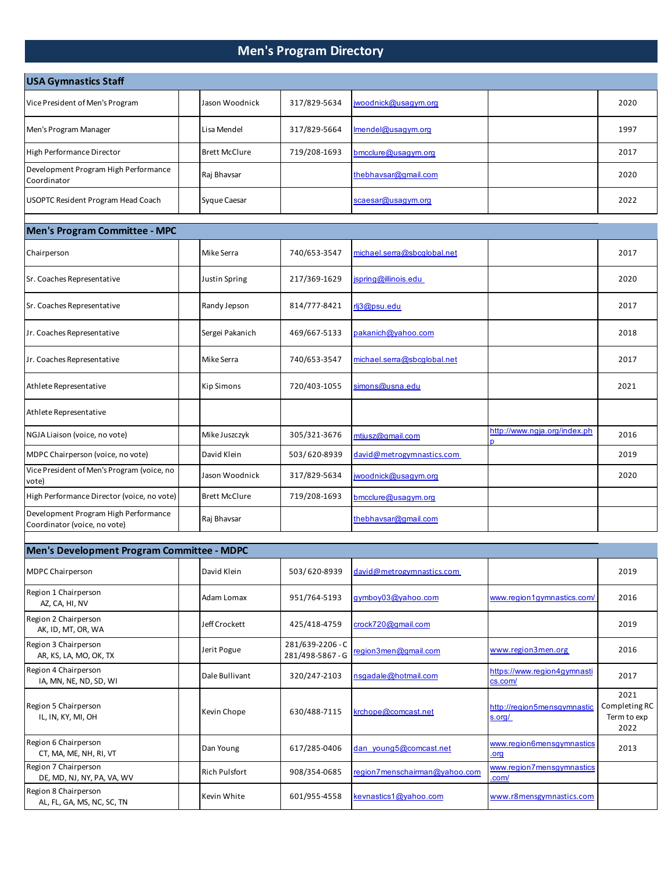## **Men's Program Directory**

| <b>USA Gymnastics Staff</b>                                          |                      |                                      |                               |                                        |                                              |
|----------------------------------------------------------------------|----------------------|--------------------------------------|-------------------------------|----------------------------------------|----------------------------------------------|
| Vice President of Men's Program                                      | Jason Woodnick       | 317/829-5634                         | jwoodnick@usagym.org          |                                        | 2020                                         |
| Men's Program Manager                                                | Lisa Mendel          | 317/829-5664                         | Imendel@usagym.org            |                                        | 1997                                         |
| High Performance Director                                            | <b>Brett McClure</b> | 719/208-1693                         | bmcclure@usaqym.org           |                                        | 2017                                         |
| Development Program High Performance<br>Coordinator                  | Raj Bhavsar          |                                      | thebhavsar@gmail.com          |                                        | 2020                                         |
| USOPTC Resident Program Head Coach                                   | Syque Caesar         |                                      | scaesar@usagym.org            |                                        | 2022                                         |
| Men's Program Committee - MPC                                        |                      |                                      |                               |                                        |                                              |
| Chairperson                                                          | Mike Serra           | 740/653-3547                         | michael.serra@sbcglobal.net   |                                        | 2017                                         |
| Sr. Coaches Representative                                           | Justin Spring        | 217/369-1629                         | jspring@illinois.edu          |                                        | 2020                                         |
| Sr. Coaches Representative                                           | Randy Jepson         | 814/777-8421                         | rlj3@psu.edu                  |                                        | 2017                                         |
| Jr. Coaches Representative                                           | Sergei Pakanich      | 469/667-5133                         | pakanich@yahoo.com            |                                        | 2018                                         |
| Jr. Coaches Representative                                           | Mike Serra           | 740/653-3547                         | michael.serra@sbcglobal.net   |                                        | 2017                                         |
| Athlete Representative                                               | <b>Kip Simons</b>    | 720/403-1055                         | simons@usna.edu               |                                        | 2021                                         |
| Athlete Representative                                               |                      |                                      |                               |                                        |                                              |
| NGJA Liaison (voice, no vote)                                        | Mike Juszczyk        | 305/321-3676                         | mtjusz@gmail.com              | http://www.ngja.org/index.ph<br>D      | 2016                                         |
| MDPC Chairperson (voice, no vote)                                    | David Klein          | 503/620-8939                         | david@metrogymnastics.com     |                                        | 2019                                         |
| Vice President of Men's Program (voice, no<br>vote)                  | Jason Woodnick       | 317/829-5634                         | jwoodnick@usagym.org          |                                        | 2020                                         |
| High Performance Director (voice, no vote)                           | <b>Brett McClure</b> | 719/208-1693                         | bmcclure@usaqym.org           |                                        |                                              |
| Development Program High Performance<br>Coordinator (voice, no vote) | Raj Bhavsar          |                                      | thebhavsar@gmail.com          |                                        |                                              |
| Men's Development Program Committee - MDPC                           |                      |                                      |                               |                                        |                                              |
| <b>MDPC Chairperson</b>                                              | David Klein          | 503/620-8939                         | david@metrogymnastics.com     |                                        | 2019                                         |
|                                                                      |                      |                                      |                               |                                        |                                              |
| Region 1 Chairperson<br>AZ, CA, HI, NV                               | Adam Lomax           | 951/764-5193                         | gymboy03@yahoo.com            | www.region1gymnastics.com/             | 2016                                         |
| Region 2 Chairperson<br>AK, ID, MT, OR, WA                           | Jeff Crockett        | 425/418-4759                         | crock720@gmail.com            |                                        | 2019                                         |
| Region 3 Chairperson<br>AR, KS, LA, MO, OK, TX                       | Jerit Pogue          | 281/639-2206 - C<br>281/498-5867 - G | region3men@gmail.com          | www.region3men.org                     | 2016                                         |
| Region 4 Chairperson<br>IA, MN, NE, ND, SD, WI                       | Dale Bullivant       | 320/247-2103                         | nsgadale@hotmail.com          | https://www.region4gymnasti<br>cs.com/ | 2017                                         |
| Region 5 Chairperson<br>IL, IN, KY, MI, OH                           | Kevin Chope          | 630/488-7115                         | krchope@comcast.net           | http://region5mensgymnastic<br>s.org/  | 2021<br>Completing RC<br>Term to exp<br>2022 |
| Region 6 Chairperson<br>CT, MA, ME, NH, RI, VT                       | Dan Young            | 617/285-0406                         | dan young5@comcast.net        | www.region6mensgymnastics<br>org       | 2013                                         |
| Region 7 Chairperson<br>DE, MD, NJ, NY, PA, VA, WV                   | Rich Pulsfort        | 908/354-0685                         | region7menschairman@yahoo.com | www.region7mensgymnastics<br>.com/     |                                              |
| Region 8 Chairperson<br>AL, FL, GA, MS, NC, SC, TN                   | Kevin White          | 601/955-4558                         | kevnastics1@yahoo.com         | www.r8mensgymnastics.com               |                                              |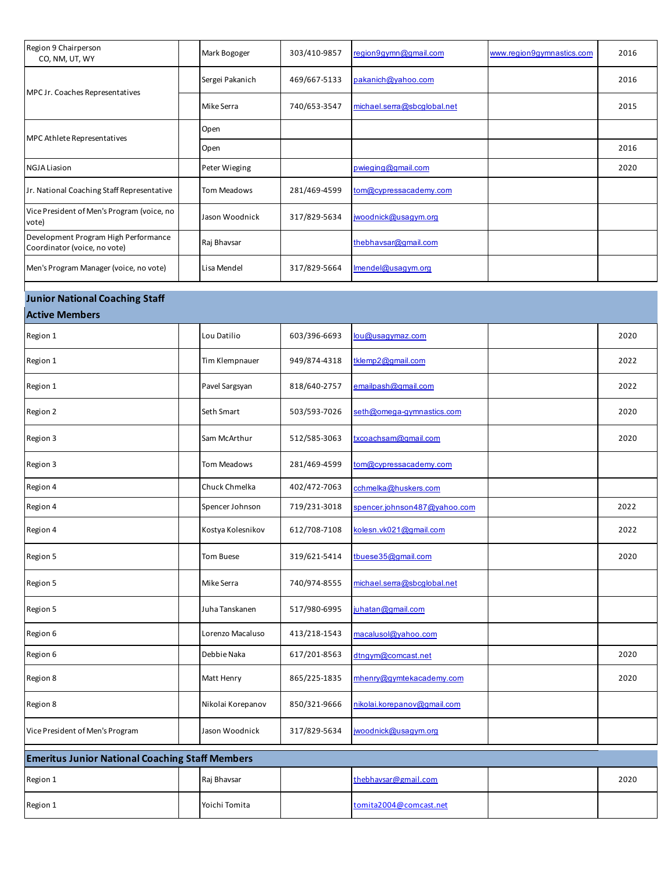| Region 9 Chairperson<br>CO, NM, UT, WY                               | Mark Bogoger    | 303/410-9857 | region9gymn@gmail.com       | www.region9gymnastics.com | 2016 |
|----------------------------------------------------------------------|-----------------|--------------|-----------------------------|---------------------------|------|
| MPC Jr. Coaches Representatives                                      | Sergei Pakanich | 469/667-5133 | pakanich@yahoo.com          |                           | 2016 |
|                                                                      | Mike Serra      | 740/653-3547 | michael.serra@sbcglobal.net |                           | 2015 |
| MPC Athlete Representatives                                          | Open            |              |                             |                           |      |
|                                                                      | Open            |              |                             |                           | 2016 |
| <b>NGJA Liasion</b>                                                  | Peter Wieging   |              | pwieging@gmail.com          |                           | 2020 |
| Jr. National Coaching Staff Representative                           | Tom Meadows     | 281/469-4599 | tom@cypressacademy.com      |                           |      |
| Vice President of Men's Program (voice, no<br>vote)                  | Jason Woodnick  | 317/829-5634 | jwoodnick@usagym.org        |                           |      |
| Development Program High Performance<br>Coordinator (voice, no vote) | Raj Bhavsar     |              | thebhavsar@gmail.com        |                           |      |
| Men's Program Manager (voice, no vote)                               | Lisa Mendel     | 317/829-5664 | Imendel@usagym.org          |                           |      |

## **Junior National Coaching Staff**

## **Active Members**

| Region 1                        | Lou Datilio       | 603/396-6693 | lou@usagymaz.com             |                                                        | 2020 |  |  |  |  |  |  |
|---------------------------------|-------------------|--------------|------------------------------|--------------------------------------------------------|------|--|--|--|--|--|--|
| Region 1                        | Tim Klempnauer    | 949/874-4318 | tklemp2@gmail.com            |                                                        | 2022 |  |  |  |  |  |  |
| Region 1                        | Pavel Sargsyan    | 818/640-2757 | emailpash@gmail.com          |                                                        | 2022 |  |  |  |  |  |  |
| Region 2                        | Seth Smart        | 503/593-7026 | seth@omega-gymnastics.com    |                                                        | 2020 |  |  |  |  |  |  |
| Region 3                        | Sam McArthur      | 512/585-3063 | txcoachsam@gmail.com         |                                                        | 2020 |  |  |  |  |  |  |
| Region 3                        | Tom Meadows       | 281/469-4599 | tom@cypressacademy.com       |                                                        |      |  |  |  |  |  |  |
| Region 4                        | Chuck Chmelka     | 402/472-7063 | cchmelka@huskers.com         |                                                        |      |  |  |  |  |  |  |
| Region 4                        | Spencer Johnson   | 719/231-3018 | spencer.johnson487@yahoo.com |                                                        | 2022 |  |  |  |  |  |  |
| Region 4                        | Kostya Kolesnikov | 612/708-7108 | kolesn.vk021@gmail.com       |                                                        | 2022 |  |  |  |  |  |  |
| Region 5                        | Tom Buese         | 319/621-5414 | tbuese35@gmail.com           |                                                        | 2020 |  |  |  |  |  |  |
| Region 5                        | Mike Serra        | 740/974-8555 | michael.serra@sbcglobal.net  |                                                        |      |  |  |  |  |  |  |
| Region 5                        | Juha Tanskanen    | 517/980-6995 | juhatan@gmail.com            |                                                        |      |  |  |  |  |  |  |
| Region 6                        | Lorenzo Macaluso  | 413/218-1543 | macalusol@yahoo.com          |                                                        |      |  |  |  |  |  |  |
| Region 6                        | Debbie Naka       | 617/201-8563 | dtngym@comcast.net           |                                                        | 2020 |  |  |  |  |  |  |
| Region 8                        | Matt Henry        | 865/225-1835 | mhenry@gymtekacademy.com     |                                                        | 2020 |  |  |  |  |  |  |
| Region 8                        | Nikolai Korepanov | 850/321-9666 | nikolai.korepanov@gmail.com  |                                                        |      |  |  |  |  |  |  |
| Vice President of Men's Program | Jason Woodnick    | 317/829-5634 | jwoodnick@usaqym.org         |                                                        |      |  |  |  |  |  |  |
|                                 |                   |              |                              | <b>Emeritus Junior National Coaching Staff Members</b> |      |  |  |  |  |  |  |

| <u>Enientus Junior National Coaching Stan Michibers</u> |  |               |  |                        |  |      |  |  |
|---------------------------------------------------------|--|---------------|--|------------------------|--|------|--|--|
| Region 1                                                |  | Raj Bhavsar   |  | thebhavsar@gmail.com   |  | 2020 |  |  |
| Region 1                                                |  | Yoichi Tomita |  | tomita2004@comcast.net |  |      |  |  |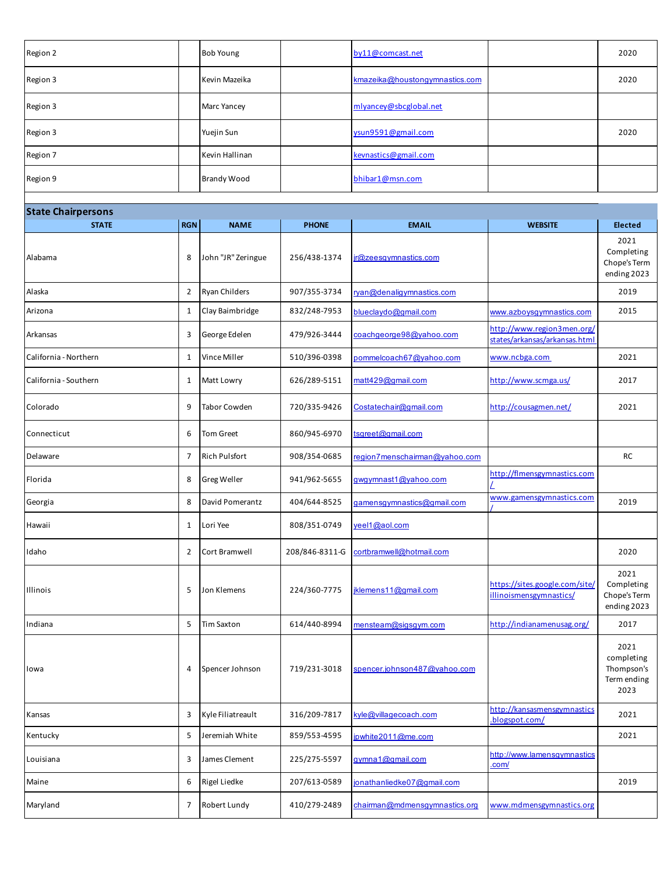| Region 2 | <b>Bob Young</b>   | by11@comcast.net               | 2020 |
|----------|--------------------|--------------------------------|------|
| Region 3 | Kevin Mazeika      | kmazeika@houstongymnastics.com | 2020 |
| Region 3 | <b>Marc Yancey</b> | mlyancey@sbcglobal.net         |      |
| Region 3 | Yuejin Sun         | ysun9591@gmail.com             | 2020 |
| Region 7 | Kevin Hallinan     | kevnastics@gmail.com           |      |
| Region 9 | <b>Brandy Wood</b> | bhibar1@msn.com                |      |

| <b>State Chairpersons</b> |                |                     |                |                               |                                                             |                                                         |
|---------------------------|----------------|---------------------|----------------|-------------------------------|-------------------------------------------------------------|---------------------------------------------------------|
| <b>STATE</b>              | <b>RGN</b>     | <b>NAME</b>         | <b>PHONE</b>   | <b>EMAIL</b>                  | <b>WEBSITE</b>                                              | <b>Elected</b>                                          |
| Alabama                   | 8              | John "JR" Zeringue  | 256/438-1374   | jr@zeesgymnastics.com         |                                                             | 2021<br>Completing<br>Chope's Term<br>ending 2023       |
| Alaska                    | 2              | Ryan Childers       | 907/355-3734   | ryan@denaligymnastics.com     |                                                             | 2019                                                    |
| Arizona                   | 1              | Clay Baimbridge     | 832/248-7953   | blueclaydo@gmail.com          | www.azboysgymnastics.com                                    | 2015                                                    |
| Arkansas                  | 3              | George Edelen       | 479/926-3444   | coachgeorge98@yahoo.com       | http://www.region3men.org/<br>states/arkansas/arkansas.html |                                                         |
| California - Northern     | 1              | Vince Miller        | 510/396-0398   | pommelcoach67@yahoo.com       | www.ncbga.com                                               | 2021                                                    |
| California - Southern     | 1              | Matt Lowry          | 626/289-5151   | matt429@gmail.com             | http://www.scmga.us/                                        | 2017                                                    |
| Colorado                  | 9              | <b>Tabor Cowden</b> | 720/335-9426   | Costatechair@gmail.com        | http://cousagmen.net/                                       | 2021                                                    |
| Connecticut               | 6              | <b>Tom Greet</b>    | 860/945-6970   | tsgreet@gmail.com             |                                                             |                                                         |
| Delaware                  | $\overline{7}$ | Rich Pulsfort       | 908/354-0685   | region7menschairman@yahoo.com |                                                             | <b>RC</b>                                               |
| Florida                   | 8              | Greg Weller         | 941/962-5655   | gwgymnast1@yahoo.com          | http://flmensgymnastics.com                                 |                                                         |
| Georgia                   | 8              | David Pomerantz     | 404/644-8525   | gamensgymnastics@gmail.com    | www.gamensgymnastics.com                                    | 2019                                                    |
| Hawaii                    | 1              | Lori Yee            | 808/351-0749   | yeel1@aol.com                 |                                                             |                                                         |
| Idaho                     | 2              | Cort Bramwell       | 208/846-8311-G | cortbramwell@hotmail.com      |                                                             | 2020                                                    |
| Illinois                  | 5              | Jon Klemens         | 224/360-7775   | jklemens11@gmail.com          | https://sites.google.com/site/<br>illinoismensgymnastics/   | 2021<br>Completing<br>Chope's Term<br>ending 2023       |
| Indiana                   | 5              | <b>Tim Saxton</b>   | 614/440-8994   | mensteam@sigsgym.com          | http://indianamenusag.org/                                  | 2017                                                    |
| lowa                      | 4              | Spencer Johnson     | 719/231-3018   | spencer.johnson487@yahoo.com  |                                                             | 2021<br>completing<br>Thompson's<br>Term ending<br>2023 |
| Kansas                    | 3              | Kyle Filiatreault   | 316/209-7817   | kyle@villagecoach.com         | http://kansasmensgymnastics<br>.blogspot.com/               | 2021                                                    |
| Kentucky                  | 5              | Jeremiah White      | 859/553-4595   | jpwhite2011@me.com            |                                                             | 2021                                                    |
| Louisiana                 | 3              | James Clement       | 225/275-5597   | gymna1@gmail.com              | http://www.lamensgymnastics<br>.com/                        |                                                         |
| Maine                     | 6              | Rigel Liedke        | 207/613-0589   | jonathanliedke07@gmail.com    |                                                             | 2019                                                    |
| Maryland                  | 7              | Robert Lundy        | 410/279-2489   | chairman@mdmensgymnastics.org | www.mdmensgymnastics.org                                    |                                                         |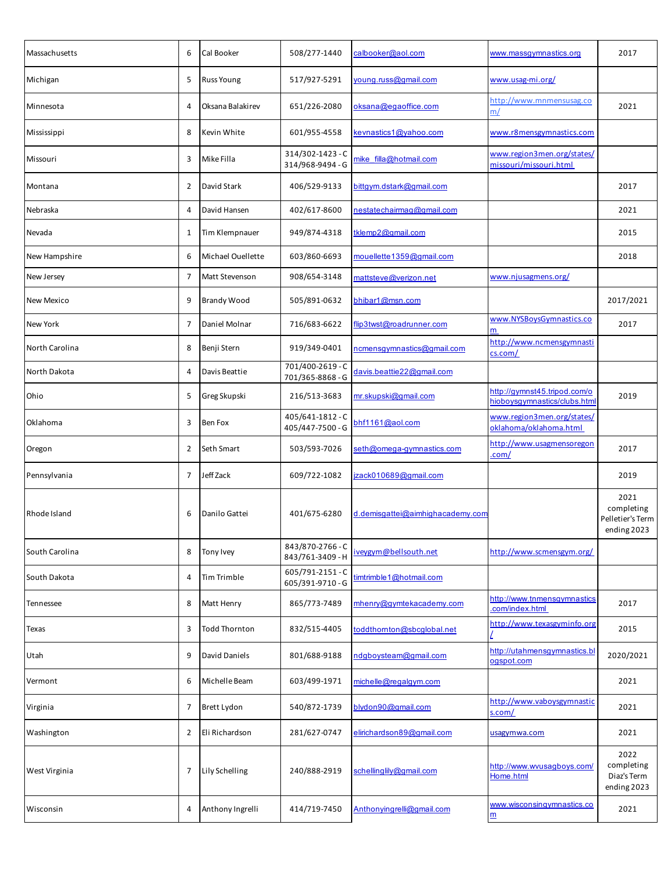| Massachusetts  | 6              | Cal Booker         | 508/277-1440                         | calbooker@aol.com                | www.massgymnastics.org                                       | 2017                                                  |
|----------------|----------------|--------------------|--------------------------------------|----------------------------------|--------------------------------------------------------------|-------------------------------------------------------|
| Michigan       | 5              | <b>Russ Young</b>  | 517/927-5291                         | young.russ@gmail.com             | www.usag-mi.org/                                             |                                                       |
| Minnesota      | 4              | Oksana Balakirev   | 651/226-2080                         | oksana@egaoffice.com             | http://www.mnmensusag.co<br>m/                               | 2021                                                  |
| Mississippi    | 8              | Kevin White        | 601/955-4558                         | kevnastics1@yahoo.com            | www.r8mensgymnastics.com                                     |                                                       |
| Missouri       | 3              | Mike Filla         | 314/302-1423 - C<br>314/968-9494 - G | mike filla@hotmail.com           | www.region3men.org/states/<br>missouri/missouri.html         |                                                       |
| Montana        | 2              | David Stark        | 406/529-9133                         | bittgym.dstark@gmail.com         |                                                              | 2017                                                  |
| Nebraska       | 4              | David Hansen       | 402/617-8600                         | nestatechairmag@gmail.com        |                                                              | 2021                                                  |
| Nevada         | 1              | Tim Klempnauer     | 949/874-4318                         | tklemp2@gmail.com                |                                                              | 2015                                                  |
| New Hampshire  | 6              | Michael Ouellette  | 603/860-6693                         | mouellette1359@gmail.com         |                                                              | 2018                                                  |
| New Jersey     | 7              | Matt Stevenson     | 908/654-3148                         | mattsteve@verizon.net            | www.njusagmens.org/                                          |                                                       |
| New Mexico     | 9              | <b>Brandy Wood</b> | 505/891-0632                         | bhibar1@msn.com                  |                                                              | 2017/2021                                             |
| New York       | 7              | Daniel Molnar      | 716/683-6622                         | flip3twst@roadrunner.com         | www.NYSBoysGymnastics.co<br>m                                | 2017                                                  |
| North Carolina | 8              | Benji Stern        | 919/349-0401                         | ncmensgymnastics@gmail.com       | http://www.ncmensgymnasti<br>cs.com/                         |                                                       |
| North Dakota   | 4              | Davis Beattie      | 701/400-2619 - C<br>701/365-8868 - G | davis.beattie22@gmail.com        |                                                              |                                                       |
| Ohio           | 5              | Greg Skupski       | 216/513-3683                         | mr.skupski@gmail.com             | http://gymnst45.tripod.com/o<br>hioboysgymnastics/clubs.html | 2019                                                  |
| Oklahoma       | 3              | Ben Fox            | 405/641-1812 - C<br>405/447-7500 - G | bhf1161@aol.com                  | www.region3men.org/states/<br>oklahoma/oklahoma.html         |                                                       |
| Oregon         | 2              | Seth Smart         | 503/593-7026                         | seth@omega-gymnastics.com        | http://www.usagmensoregon<br>.com/                           | 2017                                                  |
| Pennsylvania   | $\overline{7}$ | Jeff Zack          | 609/722-1082                         | izack010689@gmail.com            |                                                              | 2019                                                  |
| Rhode Island   | 6              | Danilo Gattei      | 401/675-6280                         | d.demisgattei@aimhighacademy.com |                                                              | 2021<br>completing<br>Pelletier's Term<br>ending 2023 |
| South Carolina | 8              | Tony Ivey          | 843/870-2766 - C<br>843/761-3409 - H | iveygym@bellsouth.net            | http://www.scmensgym.org/                                    |                                                       |
| South Dakota   | 4              | Tim Trimble        | 605/791-2151 - C<br>605/391-9710 - G | timtrimble 1@hotmail.com         |                                                              |                                                       |
| Tennessee      | 8              | Matt Henry         | 865/773-7489                         | mhenry@gymtekacademy.com         | http://www.tnmensqymnastics<br>.com/index.html               | 2017                                                  |
| Texas          | 3              | Todd Thornton      | 832/515-4405                         | toddthornton@sbcglobal.net       | http://www.texasgyminfo.org                                  | 2015                                                  |
| Utah           | 9              | David Daniels      | 801/688-9188                         | ndgboysteam@gmail.com            | http://utahmensgymnastics.bl<br>ogspot.com                   | 2020/2021                                             |
| Vermont        | 6              | Michelle Beam      | 603/499-1971                         | michelle@regalgym.com            |                                                              | 2021                                                  |
| Virginia       | 7              | Brett Lydon        | 540/872-1739                         | blydon90@gmail.com               | http://www.vaboysgymnastic<br>s.com/                         | 2021                                                  |
| Washington     | 2              | Eli Richardson     | 281/627-0747                         | elirichardson89@gmail.com        | usagymwa.com                                                 | 2021                                                  |
| West Virginia  | 7              | Lily Schelling     | 240/888-2919                         | schellinglily@gmail.com          | http://www.wvusagboys.com/<br>Home.html                      | 2022<br>completing<br>Diaz's Term<br>ending 2023      |
| Wisconsin      | 4              | Anthony Ingrelli   | 414/719-7450                         | Anthonyingrelli@gmail.com        | www.wisconsingymnastics.co                                   | 2021                                                  |